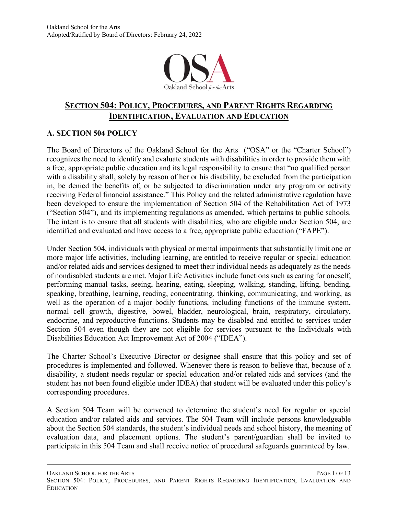

# **SECTION 504: POLICY, PROCEDURES, AND PARENT RIGHTS REGARDING IDENTIFICATION, EVALUATION AND EDUCATION**

### **A. SECTION 504 POLICY**

The Board of Directors of the Oakland School for the Arts ("OSA" or the "Charter School") recognizes the need to identify and evaluate students with disabilities in order to provide them with a free, appropriate public education and its legal responsibility to ensure that "no qualified person with a disability shall, solely by reason of her or his disability, be excluded from the participation in, be denied the benefits of, or be subjected to discrimination under any program or activity receiving Federal financial assistance." This Policy and the related administrative regulation have been developed to ensure the implementation of Section 504 of the Rehabilitation Act of 1973 ("Section 504"), and its implementing regulations as amended, which pertains to public schools. The intent is to ensure that all students with disabilities, who are eligible under Section 504, are identified and evaluated and have access to a free, appropriate public education ("FAPE").

Under Section 504, individuals with physical or mental impairments that substantially limit one or more major life activities, including learning, are entitled to receive regular or special education and/or related aids and services designed to meet their individual needs as adequately as the needs of nondisabled students are met. Major Life Activities include functions such as caring for oneself, performing manual tasks, seeing, hearing, eating, sleeping, walking, standing, lifting, bending, speaking, breathing, learning, reading, concentrating, thinking, communicating, and working, as well as the operation of a major bodily functions, including functions of the immune system, normal cell growth, digestive, bowel, bladder, neurological, brain, respiratory, circulatory, endocrine, and reproductive functions. Students may be disabled and entitled to services under Section 504 even though they are not eligible for services pursuant to the Individuals with Disabilities Education Act Improvement Act of 2004 ("IDEA").

The Charter School's Executive Director or designee shall ensure that this policy and set of procedures is implemented and followed. Whenever there is reason to believe that, because of a disability, a student needs regular or special education and/or related aids and services (and the student has not been found eligible under IDEA) that student will be evaluated under this policy's corresponding procedures.

A Section 504 Team will be convened to determine the student's need for regular or special education and/or related aids and services. The 504 Team will include persons knowledgeable about the Section 504 standards, the student's individual needs and school history, the meaning of evaluation data, and placement options. The student's parent/guardian shall be invited to participate in this 504 Team and shall receive notice of procedural safeguards guaranteed by law.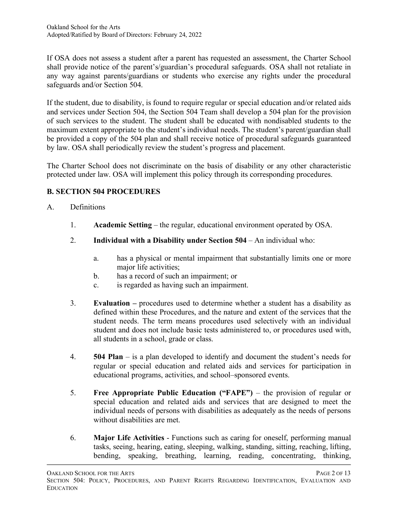If OSA does not assess a student after a parent has requested an assessment, the Charter School shall provide notice of the parent's/guardian's procedural safeguards. OSA shall not retaliate in any way against parents/guardians or students who exercise any rights under the procedural safeguards and/or Section 504.

If the student, due to disability, is found to require regular or special education and/or related aids and services under Section 504, the Section 504 Team shall develop a 504 plan for the provision of such services to the student. The student shall be educated with nondisabled students to the maximum extent appropriate to the student's individual needs. The student's parent/guardian shall be provided a copy of the 504 plan and shall receive notice of procedural safeguards guaranteed by law. OSA shall periodically review the student's progress and placement.

The Charter School does not discriminate on the basis of disability or any other characteristic protected under law. OSA will implement this policy through its corresponding procedures.

# **B. SECTION 504 PROCEDURES**

### A. Definitions

- 1. **Academic Setting** the regular, educational environment operated by OSA.
- 2. **Individual with a Disability under Section 504** An individual who:
	- a. has a physical or mental impairment that substantially limits one or more major life activities;
	- b. has a record of such an impairment; or
	- c. is regarded as having such an impairment.
- 3. **Evaluation –** procedures used to determine whether a student has a disability as defined within these Procedures, and the nature and extent of the services that the student needs. The term means procedures used selectively with an individual student and does not include basic tests administered to, or procedures used with, all students in a school, grade or class.
- 4. **504 Plan** is a plan developed to identify and document the student's needs for regular or special education and related aids and services for participation in educational programs, activities, and school–sponsored events.
- 5. **Free Appropriate Public Education ("FAPE")** the provision of regular or special education and related aids and services that are designed to meet the individual needs of persons with disabilities as adequately as the needs of persons without disabilities are met.
- 6. **Major Life Activities** Functions such as caring for oneself, performing manual tasks, seeing, hearing, eating, sleeping, walking, standing, sitting, reaching, lifting, bending, speaking, breathing, learning, reading, concentrating, thinking,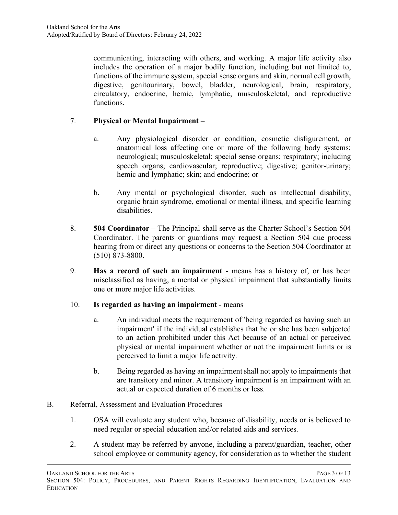communicating, interacting with others, and working. A major life activity also includes the operation of a major bodily function, including but not limited to, functions of the immune system, special sense organs and skin, normal cell growth, digestive, genitourinary, bowel, bladder, neurological, brain, respiratory, circulatory, endocrine, hemic, lymphatic, musculoskeletal, and reproductive functions.

# 7. **Physical or Mental Impairment** –

- a. Any physiological disorder or condition, cosmetic disfigurement, or anatomical loss affecting one or more of the following body systems: neurological; musculoskeletal; special sense organs; respiratory; including speech organs; cardiovascular; reproductive; digestive; genitor-urinary; hemic and lymphatic; skin; and endocrine; or
- b. Any mental or psychological disorder, such as intellectual disability, organic brain syndrome, emotional or mental illness, and specific learning disabilities.
- 8. **504 Coordinator** The Principal shall serve as the Charter School's Section 504 Coordinator. The parents or guardians may request a Section 504 due process hearing from or direct any questions or concerns to the Section 504 Coordinator at (510) 873-8800.
- 9. **Has a record of such an impairment** means has a history of, or has been misclassified as having, a mental or physical impairment that substantially limits one or more major life activities.

### 10. **Is regarded as having an impairment** - means

- a. An individual meets the requirement of 'being regarded as having such an impairment' if the individual establishes that he or she has been subjected to an action prohibited under this Act because of an actual or perceived physical or mental impairment whether or not the impairment limits or is perceived to limit a major life activity.
- b. Being regarded as having an impairment shall not apply to impairments that are transitory and minor. A transitory impairment is an impairment with an actual or expected duration of 6 months or less.

### B. Referral, Assessment and Evaluation Procedures

- 1. OSA will evaluate any student who, because of disability, needs or is believed to need regular or special education and/or related aids and services.
- 2. A student may be referred by anyone, including a parent/guardian, teacher, other school employee or community agency, for consideration as to whether the student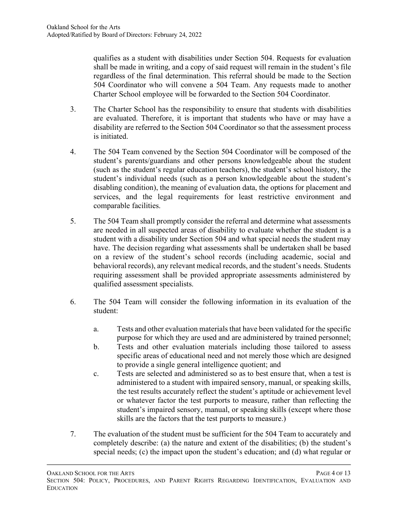qualifies as a student with disabilities under Section 504. Requests for evaluation shall be made in writing, and a copy of said request will remain in the student's file regardless of the final determination. This referral should be made to the Section 504 Coordinator who will convene a 504 Team. Any requests made to another Charter School employee will be forwarded to the Section 504 Coordinator.

- 3. The Charter School has the responsibility to ensure that students with disabilities are evaluated. Therefore, it is important that students who have or may have a disability are referred to the Section 504 Coordinator so that the assessment process is initiated.
- 4. The 504 Team convened by the Section 504 Coordinator will be composed of the student's parents/guardians and other persons knowledgeable about the student (such as the student's regular education teachers), the student's school history, the student's individual needs (such as a person knowledgeable about the student's disabling condition), the meaning of evaluation data, the options for placement and services, and the legal requirements for least restrictive environment and comparable facilities.
- 5. The 504 Team shall promptly consider the referral and determine what assessments are needed in all suspected areas of disability to evaluate whether the student is a student with a disability under Section 504 and what special needs the student may have. The decision regarding what assessments shall be undertaken shall be based on a review of the student's school records (including academic, social and behavioral records), any relevant medical records, and the student's needs. Students requiring assessment shall be provided appropriate assessments administered by qualified assessment specialists.
- 6. The 504 Team will consider the following information in its evaluation of the student:
	- a. Tests and other evaluation materials that have been validated for the specific purpose for which they are used and are administered by trained personnel;
	- b. Tests and other evaluation materials including those tailored to assess specific areas of educational need and not merely those which are designed to provide a single general intelligence quotient; and
	- c. Tests are selected and administered so as to best ensure that, when a test is administered to a student with impaired sensory, manual, or speaking skills, the test results accurately reflect the student's aptitude or achievement level or whatever factor the test purports to measure, rather than reflecting the student's impaired sensory, manual, or speaking skills (except where those skills are the factors that the test purports to measure.)
- 7. The evaluation of the student must be sufficient for the 504 Team to accurately and completely describe: (a) the nature and extent of the disabilities; (b) the student's special needs; (c) the impact upon the student's education; and (d) what regular or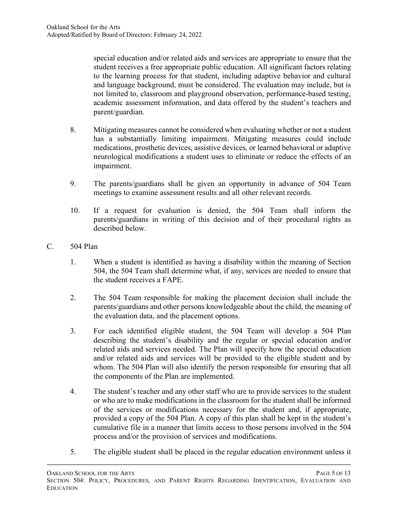special education and/or related aids and services are appropriate to ensure that the student receives a free appropriate public education. All significant factors relating to the learning process for that student, including adaptive behavior and cultural and language background, must be considered. The evaluation may include, but is not limited to, classroom and playground observation, performance-based testing, academic assessment information, and data offered by the student's teachers and parent/guardian.

- 8. Mitigating measures cannot be considered when evaluating whether or not a student has a substantially limiting impairment. Mitigating measures could include medications, prosthetic devices, assistive devices, or learned behavioral or adaptive neurological modifications a student uses to eliminate or reduce the effects of an impairment.
- 9. The parents/guardians shall be given an opportunity in advance of 504 Team meetings to examine assessment results and all other relevant records.
- 10. If a request for evaluation is denied, the 504 Team shall inform the parents/guardians in writing of this decision and of their procedural rights as described below.
- C. 504 Plan
	- 1. When a student is identified as having a disability within the meaning of Section 504, the 504 Team shall determine what, if any, services are needed to ensure that the student receives a FAPE.
	- 2. The 504 Team responsible for making the placement decision shall include the parents/guardians and other persons knowledgeable about the child, the meaning of the evaluation data, and the placement options.
	- 3. For each identified eligible student, the 504 Team will develop a 504 Plan describing the student's disability and the regular or special education and/or related aids and services needed. The Plan will specify how the special education and/or related aids and services will be provided to the eligible student and by whom. The 504 Plan will also identify the person responsible for ensuring that all the components of the Plan are implemented.
	- 4. The student's teacher and any other staff who are to provide services to the student or who are to make modifications in the classroom for the student shall be informed of the services or modifications necessary for the student and, if appropriate, provided a copy of the 504 Plan. A copy of this plan shall be kept in the student's cumulative file in a manner that limits access to those persons involved in the 504 process and/or the provision of services and modifications.
	- 5. The eligible student shall be placed in the regular education environment unless it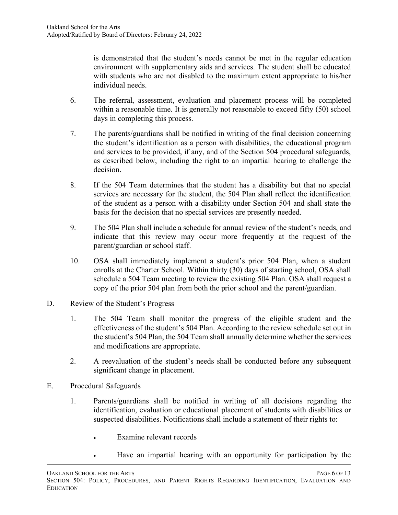is demonstrated that the student's needs cannot be met in the regular education environment with supplementary aids and services. The student shall be educated with students who are not disabled to the maximum extent appropriate to his/her individual needs.

- 6. The referral, assessment, evaluation and placement process will be completed within a reasonable time. It is generally not reasonable to exceed fifty (50) school days in completing this process.
- 7. The parents/guardians shall be notified in writing of the final decision concerning the student's identification as a person with disabilities, the educational program and services to be provided, if any, and of the Section 504 procedural safeguards, as described below, including the right to an impartial hearing to challenge the decision.
- 8. If the 504 Team determines that the student has a disability but that no special services are necessary for the student, the 504 Plan shall reflect the identification of the student as a person with a disability under Section 504 and shall state the basis for the decision that no special services are presently needed.
- 9. The 504 Plan shall include a schedule for annual review of the student's needs, and indicate that this review may occur more frequently at the request of the parent/guardian or school staff.
- 10. OSA shall immediately implement a student's prior 504 Plan, when a student enrolls at the Charter School. Within thirty (30) days of starting school, OSA shall schedule a 504 Team meeting to review the existing 504 Plan. OSA shall request a copy of the prior 504 plan from both the prior school and the parent/guardian.
- D. Review of the Student's Progress
	- 1. The 504 Team shall monitor the progress of the eligible student and the effectiveness of the student's 504 Plan. According to the review schedule set out in the student's 504 Plan, the 504 Team shall annually determine whether the services and modifications are appropriate.
	- 2. A reevaluation of the student's needs shall be conducted before any subsequent significant change in placement.
- E. Procedural Safeguards
	- 1. Parents/guardians shall be notified in writing of all decisions regarding the identification, evaluation or educational placement of students with disabilities or suspected disabilities. Notifications shall include a statement of their rights to:
		- Examine relevant records
		- Have an impartial hearing with an opportunity for participation by the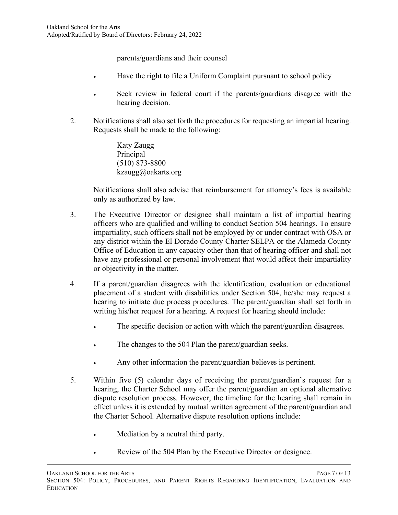parents/guardians and their counsel

- Have the right to file a Uniform Complaint pursuant to school policy
- Seek review in federal court if the parents/guardians disagree with the hearing decision.
- 2. Notifications shall also set forth the procedures for requesting an impartial hearing. Requests shall be made to the following:

Katy Zaugg Principal (510) 873-8800 kzaugg@oakarts.org

Notifications shall also advise that reimbursement for attorney's fees is available only as authorized by law.

- 3. The Executive Director or designee shall maintain a list of impartial hearing officers who are qualified and willing to conduct Section 504 hearings. To ensure impartiality, such officers shall not be employed by or under contract with OSA or any district within the El Dorado County Charter SELPA or the Alameda County Office of Education in any capacity other than that of hearing officer and shall not have any professional or personal involvement that would affect their impartiality or objectivity in the matter.
- 4. If a parent/guardian disagrees with the identification, evaluation or educational placement of a student with disabilities under Section 504, he/she may request a hearing to initiate due process procedures. The parent/guardian shall set forth in writing his/her request for a hearing. A request for hearing should include:
	- The specific decision or action with which the parent/guardian disagrees.
	- The changes to the 504 Plan the parent/guardian seeks.
	- Any other information the parent/guardian believes is pertinent.
- 5. Within five (5) calendar days of receiving the parent/guardian's request for a hearing, the Charter School may offer the parent/guardian an optional alternative dispute resolution process. However, the timeline for the hearing shall remain in effect unless it is extended by mutual written agreement of the parent/guardian and the Charter School. Alternative dispute resolution options include:
	- Mediation by a neutral third party.
	- Review of the 504 Plan by the Executive Director or designee.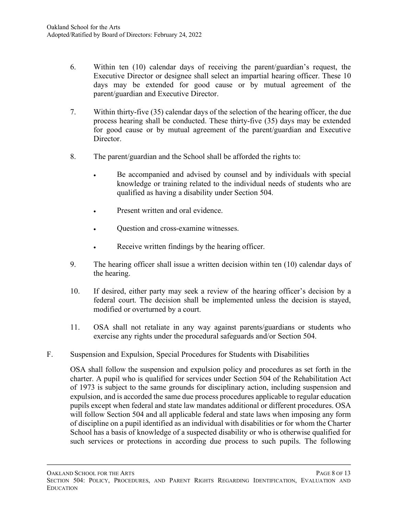- 6. Within ten (10) calendar days of receiving the parent/guardian's request, the Executive Director or designee shall select an impartial hearing officer. These 10 days may be extended for good cause or by mutual agreement of the parent/guardian and Executive Director.
- 7. Within thirty-five (35) calendar days of the selection of the hearing officer, the due process hearing shall be conducted. These thirty-five (35) days may be extended for good cause or by mutual agreement of the parent/guardian and Executive Director.
- 8. The parent/guardian and the School shall be afforded the rights to:
	- Be accompanied and advised by counsel and by individuals with special knowledge or training related to the individual needs of students who are qualified as having a disability under Section 504.
	- Present written and oral evidence.
	- Question and cross-examine witnesses.
	- Receive written findings by the hearing officer.
- 9. The hearing officer shall issue a written decision within ten (10) calendar days of the hearing.
- 10. If desired, either party may seek a review of the hearing officer's decision by a federal court. The decision shall be implemented unless the decision is stayed, modified or overturned by a court.
- 11. OSA shall not retaliate in any way against parents/guardians or students who exercise any rights under the procedural safeguards and/or Section 504.
- F. Suspension and Expulsion, Special Procedures for Students with Disabilities

OSA shall follow the suspension and expulsion policy and procedures as set forth in the charter. A pupil who is qualified for services under Section 504 of the Rehabilitation Act of 1973 is subject to the same grounds for disciplinary action, including suspension and expulsion, and is accorded the same due process procedures applicable to regular education pupils except when federal and state law mandates additional or different procedures. OSA will follow Section 504 and all applicable federal and state laws when imposing any form of discipline on a pupil identified as an individual with disabilities or for whom the Charter School has a basis of knowledge of a suspected disability or who is otherwise qualified for such services or protections in according due process to such pupils. The following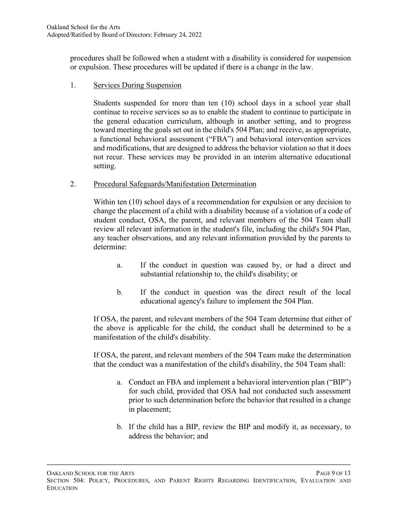procedures shall be followed when a student with a disability is considered for suspension or expulsion. These procedures will be updated if there is a change in the law.

1. Services During Suspension

Students suspended for more than ten (10) school days in a school year shall continue to receive services so as to enable the student to continue to participate in the general education curriculum, although in another setting, and to progress toward meeting the goals set out in the child's 504 Plan; and receive, as appropriate, a functional behavioral assessment ("FBA") and behavioral intervention services and modifications, that are designed to address the behavior violation so that it does not recur. These services may be provided in an interim alternative educational setting.

2. Procedural Safeguards/Manifestation Determination

Within ten (10) school days of a recommendation for expulsion or any decision to change the placement of a child with a disability because of a violation of a code of student conduct, OSA, the parent, and relevant members of the 504 Team shall review all relevant information in the student's file, including the child's 504 Plan, any teacher observations, and any relevant information provided by the parents to determine:

- a. If the conduct in question was caused by, or had a direct and substantial relationship to, the child's disability; or
- b. If the conduct in question was the direct result of the local educational agency's failure to implement the 504 Plan.

If OSA, the parent, and relevant members of the 504 Team determine that either of the above is applicable for the child, the conduct shall be determined to be a manifestation of the child's disability.

If OSA, the parent, and relevant members of the 504 Team make the determination that the conduct was a manifestation of the child's disability, the 504 Team shall:

- a. Conduct an FBA and implement a behavioral intervention plan ("BIP") for such child, provided that OSA had not conducted such assessment prior to such determination before the behavior that resulted in a change in placement;
- b. If the child has a BIP, review the BIP and modify it, as necessary, to address the behavior; and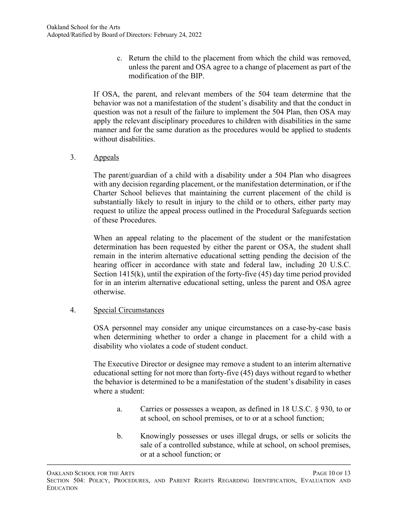c. Return the child to the placement from which the child was removed, unless the parent and OSA agree to a change of placement as part of the modification of the BIP.

If OSA, the parent, and relevant members of the 504 team determine that the behavior was not a manifestation of the student's disability and that the conduct in question was not a result of the failure to implement the 504 Plan, then OSA may apply the relevant disciplinary procedures to children with disabilities in the same manner and for the same duration as the procedures would be applied to students without disabilities.

3. Appeals

The parent/guardian of a child with a disability under a 504 Plan who disagrees with any decision regarding placement, or the manifestation determination, or if the Charter School believes that maintaining the current placement of the child is substantially likely to result in injury to the child or to others, either party may request to utilize the appeal process outlined in the Procedural Safeguards section of these Procedures.

When an appeal relating to the placement of the student or the manifestation determination has been requested by either the parent or OSA, the student shall remain in the interim alternative educational setting pending the decision of the hearing officer in accordance with state and federal law, including 20 U.S.C. Section 1415(k), until the expiration of the forty-five (45) day time period provided for in an interim alternative educational setting, unless the parent and OSA agree otherwise.

### 4. Special Circumstances

OSA personnel may consider any unique circumstances on a case-by-case basis when determining whether to order a change in placement for a child with a disability who violates a code of student conduct.

The Executive Director or designee may remove a student to an interim alternative educational setting for not more than forty-five (45) days without regard to whether the behavior is determined to be a manifestation of the student's disability in cases where a student:

- a. Carries or possesses a weapon, as defined in 18 U.S.C. § 930, to or at school, on school premises, or to or at a school function;
- b. Knowingly possesses or uses illegal drugs, or sells or solicits the sale of a controlled substance, while at school, on school premises, or at a school function; or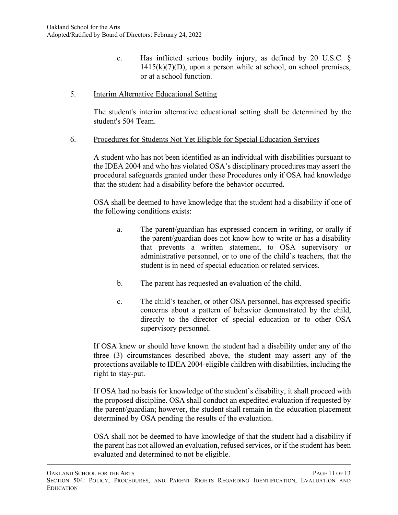- c. Has inflicted serious bodily injury, as defined by 20 U.S.C. §  $1415(k)(7)(D)$ , upon a person while at school, on school premises, or at a school function.
- 5. Interim Alternative Educational Setting

The student's interim alternative educational setting shall be determined by the student's 504 Team.

6. Procedures for Students Not Yet Eligible for Special Education Services

A student who has not been identified as an individual with disabilities pursuant to the IDEA 2004 and who has violated OSA's disciplinary procedures may assert the procedural safeguards granted under these Procedures only if OSA had knowledge that the student had a disability before the behavior occurred.

OSA shall be deemed to have knowledge that the student had a disability if one of the following conditions exists:

- a. The parent/guardian has expressed concern in writing, or orally if the parent/guardian does not know how to write or has a disability that prevents a written statement, to OSA supervisory or administrative personnel, or to one of the child's teachers, that the student is in need of special education or related services.
- b. The parent has requested an evaluation of the child.
- c. The child's teacher, or other OSA personnel, has expressed specific concerns about a pattern of behavior demonstrated by the child, directly to the director of special education or to other OSA supervisory personnel.

If OSA knew or should have known the student had a disability under any of the three (3) circumstances described above, the student may assert any of the protections available to IDEA 2004-eligible children with disabilities, including the right to stay-put.

If OSA had no basis for knowledge of the student's disability, it shall proceed with the proposed discipline. OSA shall conduct an expedited evaluation if requested by the parent/guardian; however, the student shall remain in the education placement determined by OSA pending the results of the evaluation.

OSA shall not be deemed to have knowledge of that the student had a disability if the parent has not allowed an evaluation, refused services, or if the student has been evaluated and determined to not be eligible.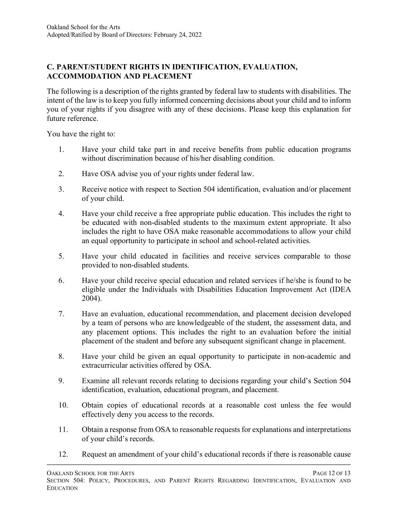### **C. PARENT/STUDENT RIGHTS IN IDENTIFICATION, EVALUATION, ACCOMMODATION AND PLACEMENT**

The following is a description of the rights granted by federal law to students with disabilities. The intent of the law is to keep you fully informed concerning decisions about your child and to inform you of your rights if you disagree with any of these decisions. Please keep this explanation for future reference.

You have the right to:

- 1. Have your child take part in and receive benefits from public education programs without discrimination because of his/her disabling condition.
- 2. Have OSA advise you of your rights under federal law.
- 3. Receive notice with respect to Section 504 identification, evaluation and/or placement of your child.
- 4. Have your child receive a free appropriate public education. This includes the right to be educated with non-disabled students to the maximum extent appropriate. It also includes the right to have OSA make reasonable accommodations to allow your child an equal opportunity to participate in school and school-related activities.
- 5. Have your child educated in facilities and receive services comparable to those provided to non-disabled students.
- 6. Have your child receive special education and related services if he/she is found to be eligible under the Individuals with Disabilities Education Improvement Act (IDEA 2004).
- 7. Have an evaluation, educational recommendation, and placement decision developed by a team of persons who are knowledgeable of the student, the assessment data, and any placement options. This includes the right to an evaluation before the initial placement of the student and before any subsequent significant change in placement.
- 8. Have your child be given an equal opportunity to participate in non-academic and extracurricular activities offered by OSA.
- 9. Examine all relevant records relating to decisions regarding your child's Section 504 identification, evaluation, educational program, and placement.
- 10. Obtain copies of educational records at a reasonable cost unless the fee would effectively deny you access to the records.
- 11. Obtain a response from OSA to reasonable requests for explanations and interpretations of your child's records.
- 12. Request an amendment of your child's educational records if there is reasonable cause